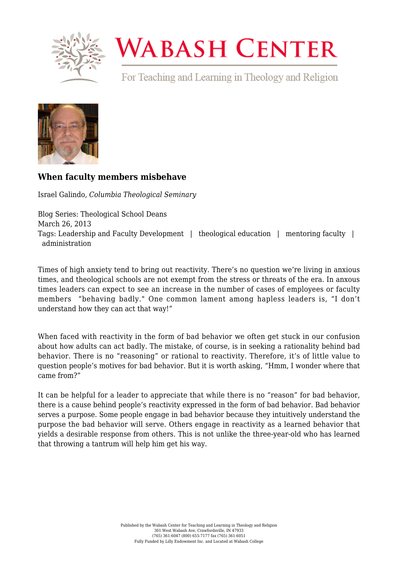

## **WABASH CENTER**

For Teaching and Learning in Theology and Religion



## **[When faculty members misbehave](https://www.wabashcenter.wabash.edu/2013/03/when-faculty-members-misbehave/)**

Israel Galindo, *Columbia Theological Seminary*

Blog Series: Theological School Deans March 26, 2013 Tags: Leadership and Faculty Development | theological education | mentoring faculty | administration

Times of high anxiety tend to bring out reactivity. There's no question we're living in anxious times, and theological schools are not exempt from the stress or threats of the era. In anxous times leaders can expect to see an increase in the number of cases of employees or faculty members "behaving badly." One common lament among hapless leaders is, "I don't understand how they can act that way!"

When faced with reactivity in the form of bad behavior we often get stuck in our confusion about how adults can act badly. The mistake, of course, is in seeking a rationality behind bad behavior. There is no "reasoning" or rational to reactivity. Therefore, it's of little value to question people's motives for bad behavior. But it is worth asking, "Hmm, I wonder where that came from?"

It can be helpful for a leader to appreciate that while there is no "reason" for bad behavior, there is a cause behind people's reactivity expressed in the form of bad behavior. Bad behavior serves a purpose. Some people engage in bad behavior because they intuitively understand the purpose the bad behavior will serve. Others engage in reactivity as a learned behavior that yields a desirable response from others. This is not unlike the three-year-old who has learned that throwing a tantrum will help him get his way.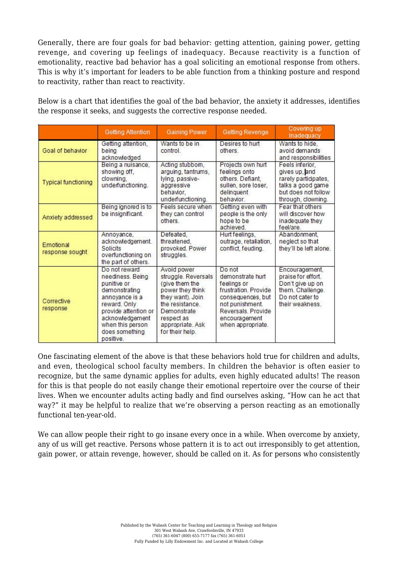Generally, there are four goals for bad behavior: getting attention, gaining power, getting revenge, and covering up feelings of inadequacy. Because reactivity is a function of emotionality, reactive bad behavior has a goal soliciting an emotional response from others. This is why it's important for leaders to be able function from a thinking posture and respond to reactivity, rather than react to reactivity.

Below is a chart that identifies the goal of the bad behavior, the anxiety it addresses, identifies the response it seeks, and suggests the corrective response needed.

|                              | <b>Getting Attention</b>                                                                                                                                                                          | <b>Gaining Power</b>                                                                                                                                                                | <b>Getting Revenge</b>                                                                                                                                                | Covering up<br>Inadequacy                                                                                                  |
|------------------------------|---------------------------------------------------------------------------------------------------------------------------------------------------------------------------------------------------|-------------------------------------------------------------------------------------------------------------------------------------------------------------------------------------|-----------------------------------------------------------------------------------------------------------------------------------------------------------------------|----------------------------------------------------------------------------------------------------------------------------|
| Goal of behavior             | Getting attention,<br>being<br>acknowledged                                                                                                                                                       | Wants to be in<br>control.                                                                                                                                                          | Desires to hurt<br>others.                                                                                                                                            | Wants to hide.<br>avoid demands<br>and responsibilities                                                                    |
| <b>Typical functioning</b>   | Being a nuisance.<br>showing off.<br>clowning.<br>underfunctioning.                                                                                                                               | Acting stubbom,<br>arguing, tantrums,<br>Iving, passive-<br>aggressive<br>behavior,<br>underfunctioning.                                                                            | Projects own hurt<br>feelings onto<br>others. Defiant.<br>sullen, sore loser,<br>delinquent<br>behavior.                                                              | Feels inferior.<br>gives up, and<br>rarely participates,<br>talks a good game<br>but does not follow<br>through, clowning. |
| Anxiety addressed            | Being ignored is to<br>be insignificant.                                                                                                                                                          | Feels secure when<br>they can control<br>others.                                                                                                                                    | Getting even with<br>people is the only<br>hope to be<br>achieved.                                                                                                    | Fear that others<br>will discover how<br>inadequate they<br>feel/are.                                                      |
| Emotional<br>response sought | Annoyance,<br>acknowledgement.<br><b>Solicits</b><br>overfunctioning on<br>the part of others.                                                                                                    | Defeated,<br>threatened.<br>provoked. Power<br>struggles.                                                                                                                           | Hurt feelings,<br>outrage, retaliation,<br>conflict, feuding.                                                                                                         | Abandonment.<br>neglect so that<br>they'll be left alone.                                                                  |
| Corrective<br>response       | Do not reward<br>neediness. Being<br>punitive or<br>demonstrating<br>annoyance is a<br>reward. Only<br>provide attention or<br>acknowledgement<br>when this person<br>does something<br>positive. | Avoid power<br>struggle. Reversals<br>(give them the<br>power they think<br>they want). Join<br>the resistance.<br>Demonstrate<br>respect as<br>appropriate, Ask<br>for their help. | Do not<br>demonstrate hurt<br>feelings or<br>frustration, Provide<br>consequences, but<br>not punishment.<br>Reversals, Provide<br>encouragement<br>when appropriate. | Encouragement,<br>praise for effort.<br>Don't give up on<br>them. Challenge.<br>Do not cater to<br>their weakness.         |

One fascinating element of the above is that these behaviors hold true for children and adults, and even, theological school faculty members. In children the behavior is often easier to recognize, but the same dynamic applies for adults, even highly educated adults! The reason for this is that people do not easily change their emotional repertoire over the course of their lives. When we encounter adults acting badly and find ourselves asking, "How can he act that way?" it may be helpful to realize that we're observing a person reacting as an emotionally functional ten-year-old.

We can allow people their right to go insane every once in a while. When overcome by anxiety, any of us will get reactive. Persons whose pattern it is to act out irresponsibly to get attention, gain power, or attain revenge, however, should be called on it. As for persons who consistently